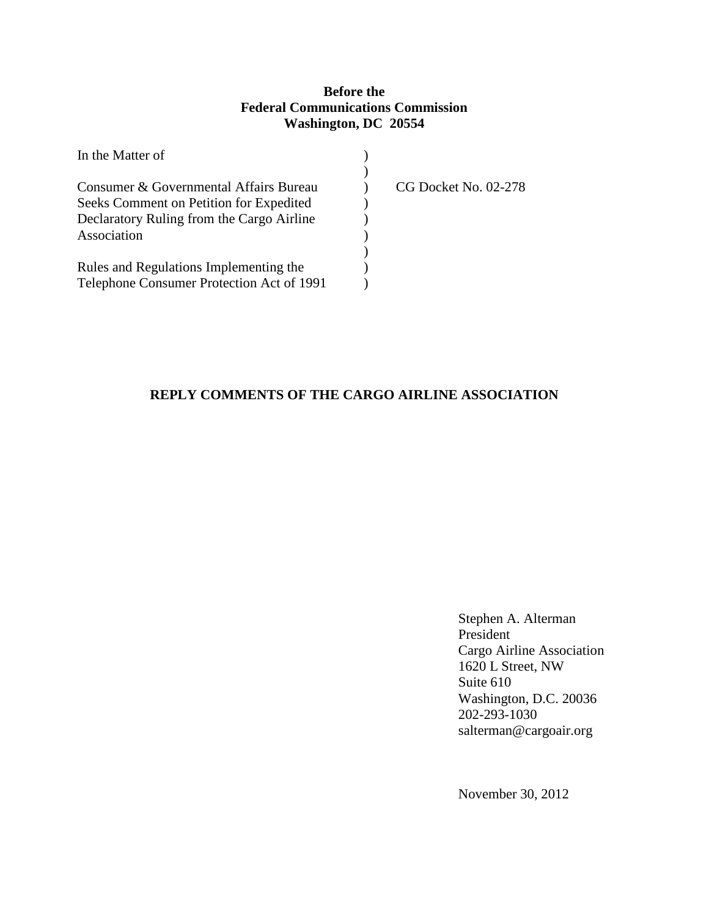## **Before the Federal Communications Commission Washington, DC 20554**

| In the Matter of                          |                      |
|-------------------------------------------|----------------------|
|                                           |                      |
| Consumer & Governmental Affairs Bureau    | CG Docket No. 02-278 |
| Seeks Comment on Petition for Expedited   |                      |
| Declaratory Ruling from the Cargo Airline |                      |
| Association                               |                      |
|                                           |                      |
| Rules and Regulations Implementing the    |                      |
| Telephone Consumer Protection Act of 1991 |                      |

# **REPLY COMMENTS OF THE CARGO AIRLINE ASSOCIATION**

 Stephen A. Alterman President Cargo Airline Association 1620 L Street, NW Suite 610 Washington, D.C. 20036 202-293-1030 salterman@cargoair.org

November 30, 2012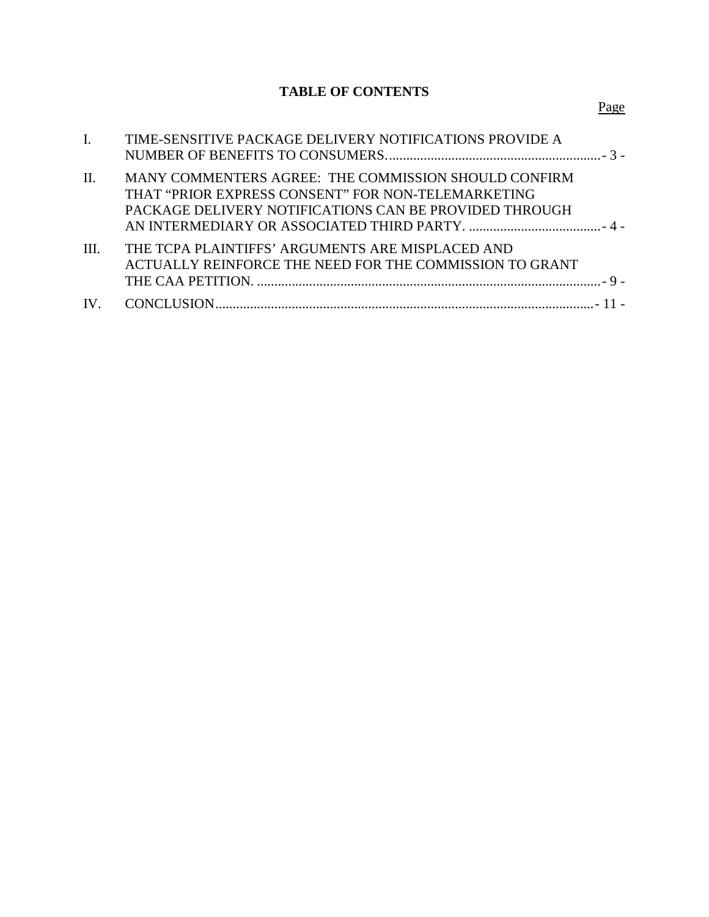# **TABLE OF CONTENTS**

| $\mathbf{I}$ . | TIME-SENSITIVE PACKAGE DELIVERY NOTIFICATIONS PROVIDE A                                                                                                              |  |
|----------------|----------------------------------------------------------------------------------------------------------------------------------------------------------------------|--|
| $\mathbf{H}$ . | MANY COMMENTERS AGREE: THE COMMISSION SHOULD CONFIRM<br>THAT "PRIOR EXPRESS CONSENT" FOR NON-TELEMARKETING<br>PACKAGE DELIVERY NOTIFICATIONS CAN BE PROVIDED THROUGH |  |
| III.           | THE TCPA PLAINTIFFS' ARGUMENTS ARE MISPLACED AND<br>ACTUALLY REINFORCE THE NEED FOR THE COMMISSION TO GRANT                                                          |  |
|                |                                                                                                                                                                      |  |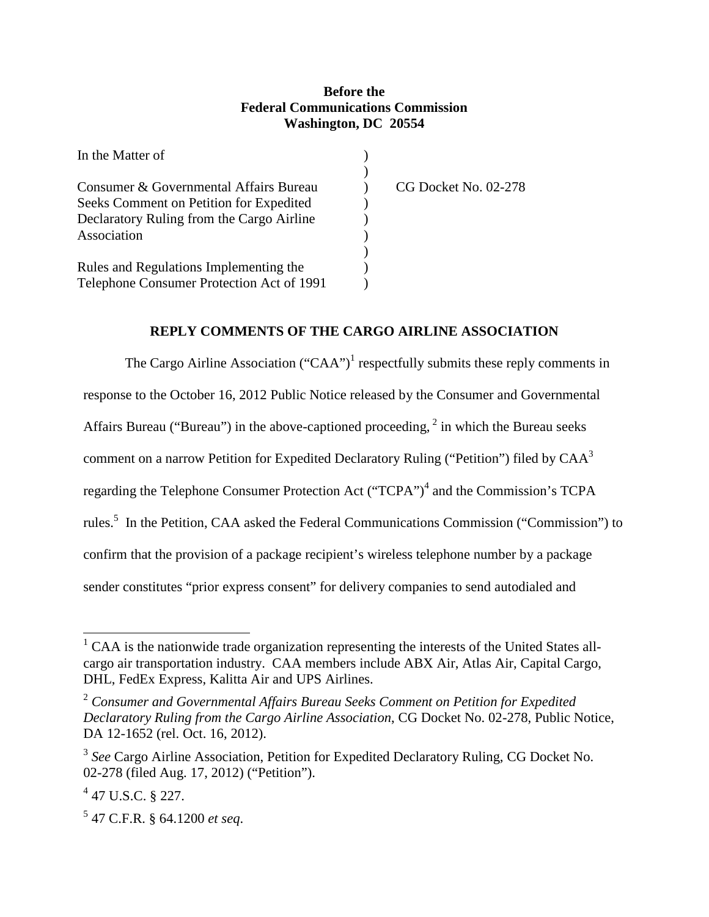#### **Before the Federal Communications Commission Washington, DC 20554**

| In the Matter of                          |                      |
|-------------------------------------------|----------------------|
|                                           |                      |
| Consumer & Governmental Affairs Bureau    | CG Docket No. 02-278 |
| Seeks Comment on Petition for Expedited   |                      |
| Declaratory Ruling from the Cargo Airline |                      |
| Association                               |                      |
|                                           |                      |
| Rules and Regulations Implementing the    |                      |
| Telephone Consumer Protection Act of 1991 |                      |

### **REPLY COMMENTS OF THE CARGO AIRLINE ASSOCIATION**

The Cargo Airline Association  $("CAA")^1$  respectfully submits these reply comments in response to the October 16, 2012 Public Notice released by the Consumer and Governmental Affairs Bureau ("Bureau") in the above-captioned proceeding,  $2$  in which the Bureau seeks comment on a narrow Petition for Expedited Declaratory Ruling ("Petition") filed by CAA<sup>3</sup> regarding the Telephone Consumer Protection Act ("TCPA")<sup>4</sup> and the Commission's TCPA rules.<sup>5</sup> In the Petition, CAA asked the Federal Communications Commission ("Commission") to confirm that the provision of a package recipient's wireless telephone number by a package sender constitutes "prior express consent" for delivery companies to send autodialed and

 $1$  CAA is the nationwide trade organization representing the interests of the United States allcargo air transportation industry. CAA members include ABX Air, Atlas Air, Capital Cargo, DHL, FedEx Express, Kalitta Air and UPS Airlines.

<sup>2</sup>  *Consumer and Governmental Affairs Bureau Seeks Comment on Petition for Expedited Declaratory Ruling from the Cargo Airline Association*, CG Docket No. 02-278, Public Notice, DA 12-1652 (rel. Oct. 16, 2012).

<sup>&</sup>lt;sup>3</sup> See Cargo Airline Association, Petition for Expedited Declaratory Ruling, CG Docket No. 02-278 (filed Aug. 17, 2012) ("Petition").

 $4$  47 U.S.C. § 227.

<sup>5</sup> 47 C.F.R. § 64.1200 *et seq*.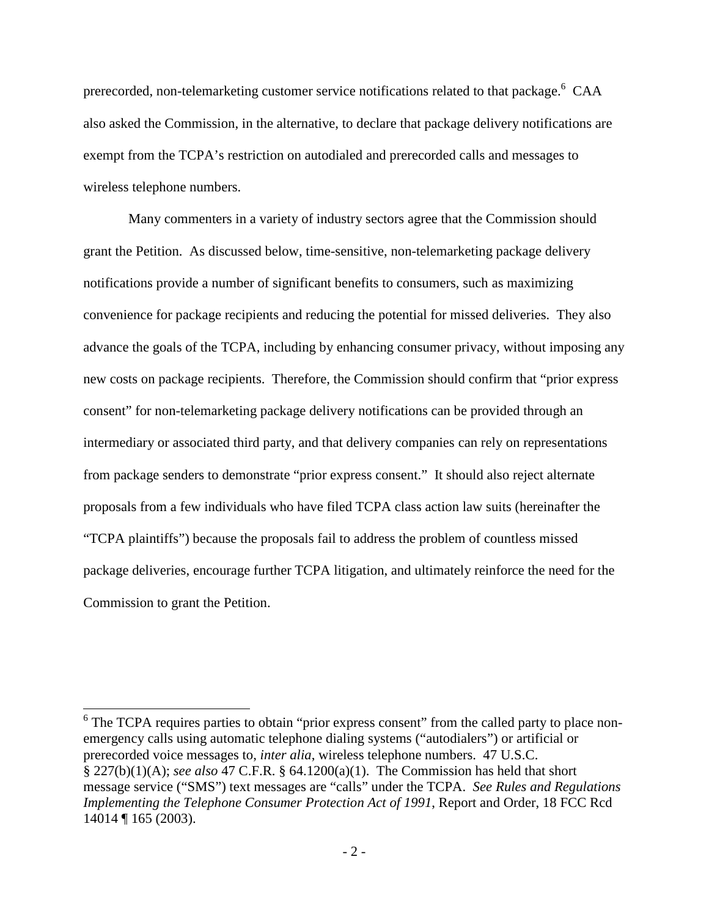prerecorded, non-telemarketing customer service notifications related to that package.<sup>6</sup> CAA also asked the Commission, in the alternative, to declare that package delivery notifications are exempt from the TCPA's restriction on autodialed and prerecorded calls and messages to wireless telephone numbers.

 Many commenters in a variety of industry sectors agree that the Commission should grant the Petition. As discussed below, time-sensitive, non-telemarketing package delivery notifications provide a number of significant benefits to consumers, such as maximizing convenience for package recipients and reducing the potential for missed deliveries. They also advance the goals of the TCPA, including by enhancing consumer privacy, without imposing any new costs on package recipients. Therefore, the Commission should confirm that "prior express consent" for non-telemarketing package delivery notifications can be provided through an intermediary or associated third party, and that delivery companies can rely on representations from package senders to demonstrate "prior express consent." It should also reject alternate proposals from a few individuals who have filed TCPA class action law suits (hereinafter the "TCPA plaintiffs") because the proposals fail to address the problem of countless missed package deliveries, encourage further TCPA litigation, and ultimately reinforce the need for the Commission to grant the Petition.

<sup>&</sup>lt;sup>6</sup> The TCPA requires parties to obtain "prior express consent" from the called party to place nonemergency calls using automatic telephone dialing systems ("autodialers") or artificial or prerecorded voice messages to, *inter alia*, wireless telephone numbers. 47 U.S.C. § 227(b)(1)(A); *see also* 47 C.F.R. § 64.1200(a)(1). The Commission has held that short message service ("SMS") text messages are "calls" under the TCPA. *See Rules and Regulations Implementing the Telephone Consumer Protection Act of 1991*, Report and Order, 18 FCC Rcd 14014 ¶ 165 (2003).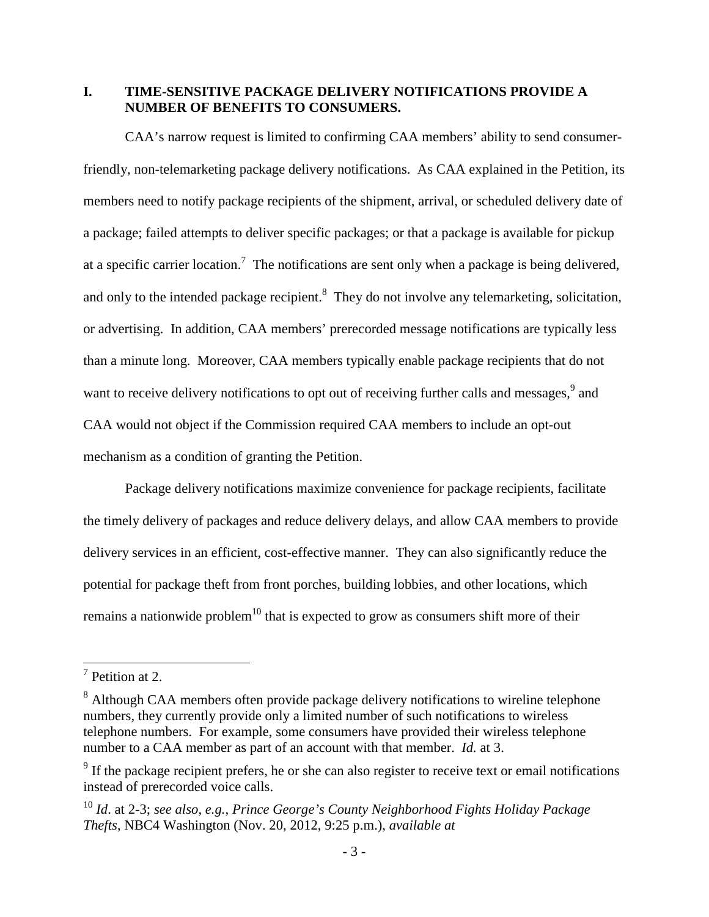**I. TIME-SENSITIVE PACKAGE DELIVERY NOTIFICATIONS PROVIDE A NUMBER OF BENEFITS TO CONSUMERS.** 

CAA's narrow request is limited to confirming CAA members' ability to send consumerfriendly, non-telemarketing package delivery notifications. As CAA explained in the Petition, its members need to notify package recipients of the shipment, arrival, or scheduled delivery date of a package; failed attempts to deliver specific packages; or that a package is available for pickup at a specific carrier location.<sup>7</sup> The notifications are sent only when a package is being delivered, and only to the intended package recipient.<sup>8</sup> They do not involve any telemarketing, solicitation, or advertising. In addition, CAA members' prerecorded message notifications are typically less than a minute long. Moreover, CAA members typically enable package recipients that do not want to receive delivery notifications to opt out of receiving further calls and messages,<sup>9</sup> and CAA would not object if the Commission required CAA members to include an opt-out mechanism as a condition of granting the Petition.

Package delivery notifications maximize convenience for package recipients, facilitate the timely delivery of packages and reduce delivery delays, and allow CAA members to provide delivery services in an efficient, cost-effective manner. They can also significantly reduce the potential for package theft from front porches, building lobbies, and other locations, which remains a nationwide problem<sup>10</sup> that is expected to grow as consumers shift more of their

<sup>&</sup>lt;sup>7</sup> Petition at 2.

<sup>&</sup>lt;sup>8</sup> Although CAA members often provide package delivery notifications to wireline telephone numbers, they currently provide only a limited number of such notifications to wireless telephone numbers. For example, some consumers have provided their wireless telephone number to a CAA member as part of an account with that member. *Id.* at 3.

 $9<sup>9</sup>$  If the package recipient prefers, he or she can also register to receive text or email notifications instead of prerecorded voice calls.

<sup>10</sup> *Id*. at 2-3; *see also, e.g.*, *Prince George's County Neighborhood Fights Holiday Package Thefts*, NBC4 Washington (Nov. 20, 2012, 9:25 p.m.), *available at*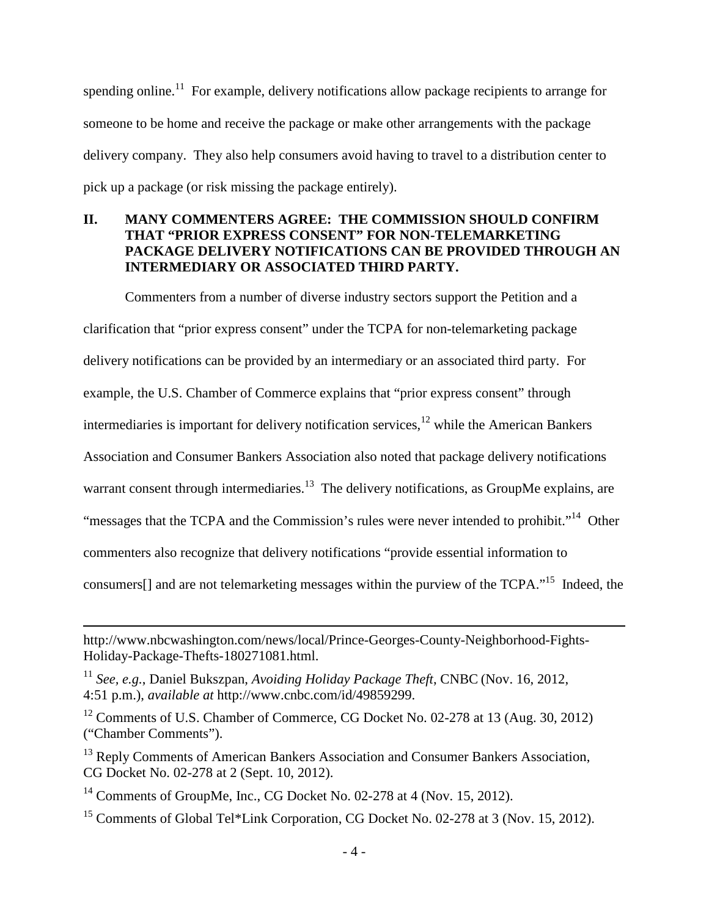spending online.<sup>11</sup> For example, delivery notifications allow package recipients to arrange for someone to be home and receive the package or make other arrangements with the package delivery company. They also help consumers avoid having to travel to a distribution center to pick up a package (or risk missing the package entirely).

## **II. MANY COMMENTERS AGREE: THE COMMISSION SHOULD CONFIRM THAT "PRIOR EXPRESS CONSENT" FOR NON-TELEMARKETING PACKAGE DELIVERY NOTIFICATIONS CAN BE PROVIDED THROUGH AN INTERMEDIARY OR ASSOCIATED THIRD PARTY.**

Commenters from a number of diverse industry sectors support the Petition and a clarification that "prior express consent" under the TCPA for non-telemarketing package delivery notifications can be provided by an intermediary or an associated third party. For example, the U.S. Chamber of Commerce explains that "prior express consent" through intermediaries is important for delivery notification services, $12$  while the American Bankers Association and Consumer Bankers Association also noted that package delivery notifications warrant consent through intermediaries.<sup>13</sup> The delivery notifications, as GroupMe explains, are "messages that the TCPA and the Commission's rules were never intended to prohibit."<sup>14</sup> Other commenters also recognize that delivery notifications "provide essential information to consumers[] and are not telemarketing messages within the purview of the TCPA."<sup>15</sup> Indeed, the

http://www.nbcwashington.com/news/local/Prince-Georges-County-Neighborhood-Fights-Holiday-Package-Thefts-180271081.html.

<sup>11</sup> *See, e.g.*, Daniel Bukszpan, *Avoiding Holiday Package Theft*, CNBC (Nov. 16, 2012, 4:51 p.m.), *available at* http://www.cnbc.com/id/49859299.

<sup>&</sup>lt;sup>12</sup> Comments of U.S. Chamber of Commerce, CG Docket No. 02-278 at 13 (Aug. 30, 2012) ("Chamber Comments").

<sup>&</sup>lt;sup>13</sup> Reply Comments of American Bankers Association and Consumer Bankers Association, CG Docket No. 02-278 at 2 (Sept. 10, 2012).

<sup>&</sup>lt;sup>14</sup> Comments of GroupMe, Inc., CG Docket No. 02-278 at 4 (Nov. 15, 2012).

<sup>&</sup>lt;sup>15</sup> Comments of Global Tel\*Link Corporation, CG Docket No. 02-278 at 3 (Nov. 15, 2012).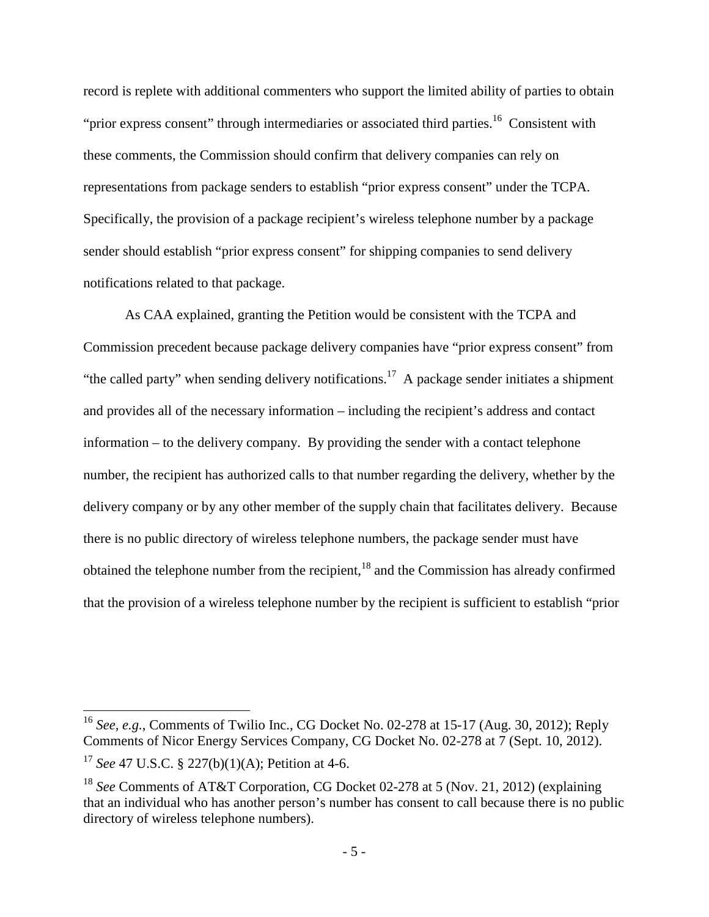record is replete with additional commenters who support the limited ability of parties to obtain "prior express consent" through intermediaries or associated third parties.<sup>16</sup> Consistent with these comments, the Commission should confirm that delivery companies can rely on representations from package senders to establish "prior express consent" under the TCPA. Specifically, the provision of a package recipient's wireless telephone number by a package sender should establish "prior express consent" for shipping companies to send delivery notifications related to that package.

As CAA explained, granting the Petition would be consistent with the TCPA and Commission precedent because package delivery companies have "prior express consent" from "the called party" when sending delivery notifications.<sup>17</sup> A package sender initiates a shipment and provides all of the necessary information – including the recipient's address and contact information – to the delivery company. By providing the sender with a contact telephone number, the recipient has authorized calls to that number regarding the delivery, whether by the delivery company or by any other member of the supply chain that facilitates delivery. Because there is no public directory of wireless telephone numbers, the package sender must have obtained the telephone number from the recipient, $18$  and the Commission has already confirmed that the provision of a wireless telephone number by the recipient is sufficient to establish "prior

<sup>16</sup> *See, e.g.*, Comments of Twilio Inc., CG Docket No. 02-278 at 15-17 (Aug. 30, 2012); Reply Comments of Nicor Energy Services Company, CG Docket No. 02-278 at 7 (Sept. 10, 2012).

<sup>17</sup> *See* 47 U.S.C. § 227(b)(1)(A); Petition at 4-6.

<sup>18</sup> *See* Comments of AT&T Corporation, CG Docket 02-278 at 5 (Nov. 21, 2012) (explaining that an individual who has another person's number has consent to call because there is no public directory of wireless telephone numbers).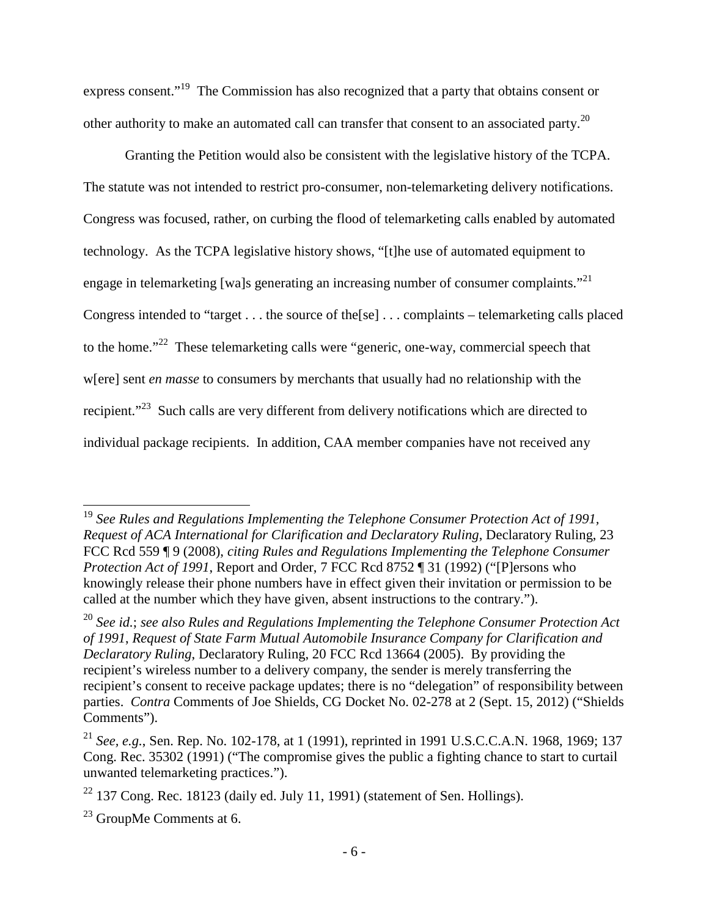express consent."<sup>19</sup> The Commission has also recognized that a party that obtains consent or other authority to make an automated call can transfer that consent to an associated party.<sup>20</sup>

Granting the Petition would also be consistent with the legislative history of the TCPA. The statute was not intended to restrict pro-consumer, non-telemarketing delivery notifications. Congress was focused, rather, on curbing the flood of telemarketing calls enabled by automated technology. As the TCPA legislative history shows, "[t]he use of automated equipment to engage in telemarketing [wa]s generating an increasing number of consumer complaints."<sup>21</sup> Congress intended to "target . . . the source of the[se] . . . complaints – telemarketing calls placed to the home."<sup>22</sup> These telemarketing calls were "generic, one-way, commercial speech that w[ere] sent *en masse* to consumers by merchants that usually had no relationship with the recipient."<sup>23</sup> Such calls are very different from delivery notifications which are directed to individual package recipients. In addition, CAA member companies have not received any

<sup>19</sup> *See Rules and Regulations Implementing the Telephone Consumer Protection Act of 1991, Request of ACA International for Clarification and Declaratory Ruling*, Declaratory Ruling, 23 FCC Rcd 559 ¶ 9 (2008), *citing Rules and Regulations Implementing the Telephone Consumer Protection Act of 1991*, Report and Order, 7 FCC Rcd 8752 ¶ 31 (1992) ("[P]ersons who knowingly release their phone numbers have in effect given their invitation or permission to be called at the number which they have given, absent instructions to the contrary.").

<sup>20</sup> *See id.*; *see also Rules and Regulations Implementing the Telephone Consumer Protection Act of 1991*, *Request of State Farm Mutual Automobile Insurance Company for Clarification and Declaratory Ruling*, Declaratory Ruling, 20 FCC Rcd 13664 (2005). By providing the recipient's wireless number to a delivery company, the sender is merely transferring the recipient's consent to receive package updates; there is no "delegation" of responsibility between parties. *Contra* Comments of Joe Shields, CG Docket No. 02-278 at 2 (Sept. 15, 2012) ("Shields Comments").

<sup>21</sup> *See, e.g.*, Sen. Rep. No. 102-178, at 1 (1991), reprinted in 1991 U.S.C.C.A.N. 1968, 1969; 137 Cong. Rec. 35302 (1991) ("The compromise gives the public a fighting chance to start to curtail unwanted telemarketing practices.").

 $22$  137 Cong. Rec. 18123 (daily ed. July 11, 1991) (statement of Sen. Hollings).

 $^{23}$  GroupMe Comments at 6.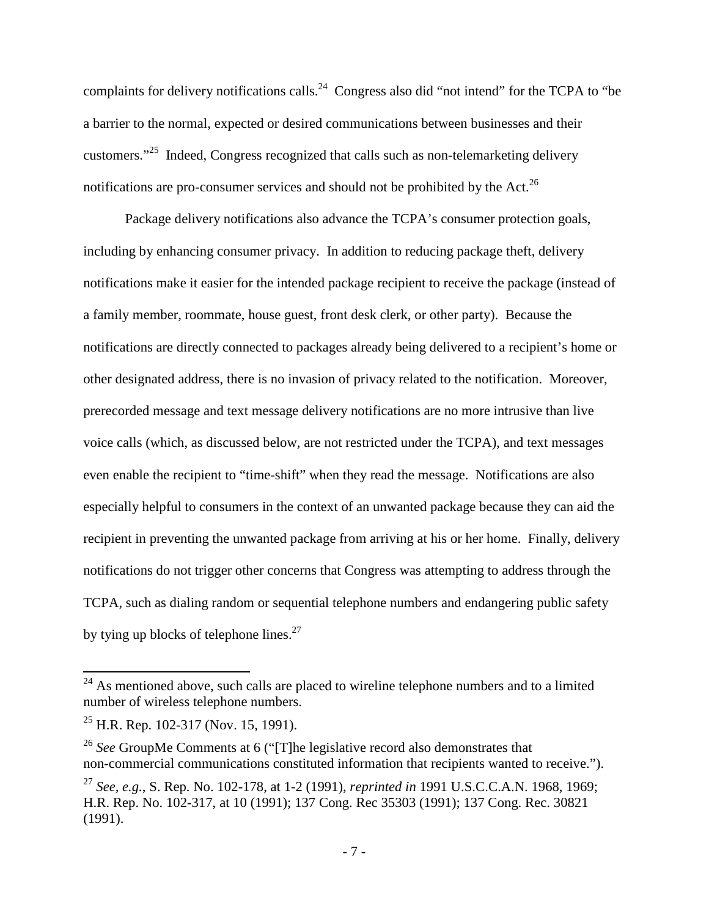complaints for delivery notifications calls.<sup>24</sup> Congress also did "not intend" for the TCPA to "be a barrier to the normal, expected or desired communications between businesses and their customers."<sup>25</sup> Indeed, Congress recognized that calls such as non-telemarketing delivery notifications are pro-consumer services and should not be prohibited by the Act.<sup>26</sup>

Package delivery notifications also advance the TCPA's consumer protection goals, including by enhancing consumer privacy. In addition to reducing package theft, delivery notifications make it easier for the intended package recipient to receive the package (instead of a family member, roommate, house guest, front desk clerk, or other party). Because the notifications are directly connected to packages already being delivered to a recipient's home or other designated address, there is no invasion of privacy related to the notification. Moreover, prerecorded message and text message delivery notifications are no more intrusive than live voice calls (which, as discussed below, are not restricted under the TCPA), and text messages even enable the recipient to "time-shift" when they read the message. Notifications are also especially helpful to consumers in the context of an unwanted package because they can aid the recipient in preventing the unwanted package from arriving at his or her home. Finally, delivery notifications do not trigger other concerns that Congress was attempting to address through the TCPA, such as dialing random or sequential telephone numbers and endangering public safety by tying up blocks of telephone lines. $27$ 

 $24$  As mentioned above, such calls are placed to wireline telephone numbers and to a limited number of wireless telephone numbers.

 $^{25}$  H.R. Rep. 102-317 (Nov. 15, 1991).

<sup>26</sup> *See* GroupMe Comments at 6 ("[T]he legislative record also demonstrates that non-commercial communications constituted information that recipients wanted to receive.").

<sup>27</sup> *See, e.g.*, S. Rep. No. 102-178, at 1-2 (1991), *reprinted in* 1991 U.S.C.C.A.N. 1968, 1969; H.R. Rep. No. 102-317, at 10 (1991); 137 Cong. Rec 35303 (1991); 137 Cong. Rec. 30821 (1991).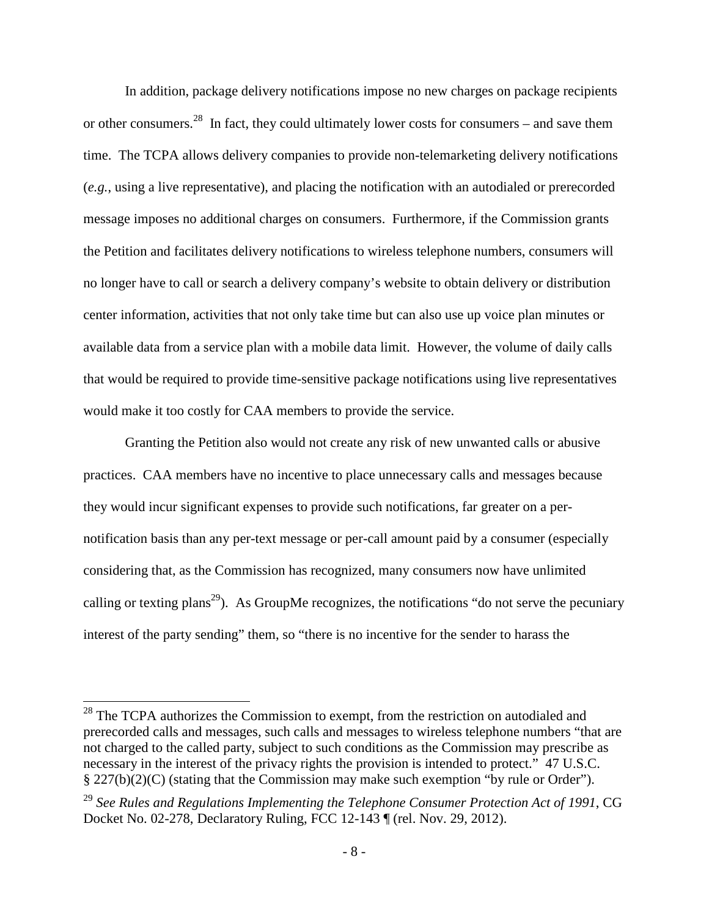In addition, package delivery notifications impose no new charges on package recipients or other consumers.<sup>28</sup> In fact, they could ultimately lower costs for consumers – and save them time. The TCPA allows delivery companies to provide non-telemarketing delivery notifications (*e.g.*, using a live representative), and placing the notification with an autodialed or prerecorded message imposes no additional charges on consumers. Furthermore, if the Commission grants the Petition and facilitates delivery notifications to wireless telephone numbers, consumers will no longer have to call or search a delivery company's website to obtain delivery or distribution center information, activities that not only take time but can also use up voice plan minutes or available data from a service plan with a mobile data limit. However, the volume of daily calls that would be required to provide time-sensitive package notifications using live representatives would make it too costly for CAA members to provide the service.

Granting the Petition also would not create any risk of new unwanted calls or abusive practices. CAA members have no incentive to place unnecessary calls and messages because they would incur significant expenses to provide such notifications, far greater on a pernotification basis than any per-text message or per-call amount paid by a consumer (especially considering that, as the Commission has recognized, many consumers now have unlimited calling or texting plans<sup>29</sup>). As GroupMe recognizes, the notifications "do not serve the pecuniary interest of the party sending" them, so "there is no incentive for the sender to harass the

<sup>&</sup>lt;sup>28</sup> The TCPA authorizes the Commission to exempt, from the restriction on autodialed and prerecorded calls and messages, such calls and messages to wireless telephone numbers "that are not charged to the called party, subject to such conditions as the Commission may prescribe as necessary in the interest of the privacy rights the provision is intended to protect." 47 U.S.C. § 227(b)(2)(C) (stating that the Commission may make such exemption "by rule or Order").

<sup>29</sup> *See Rules and Regulations Implementing the Telephone Consumer Protection Act of 1991*, CG Docket No. 02-278, Declaratory Ruling, FCC 12-143 ¶ (rel. Nov. 29, 2012).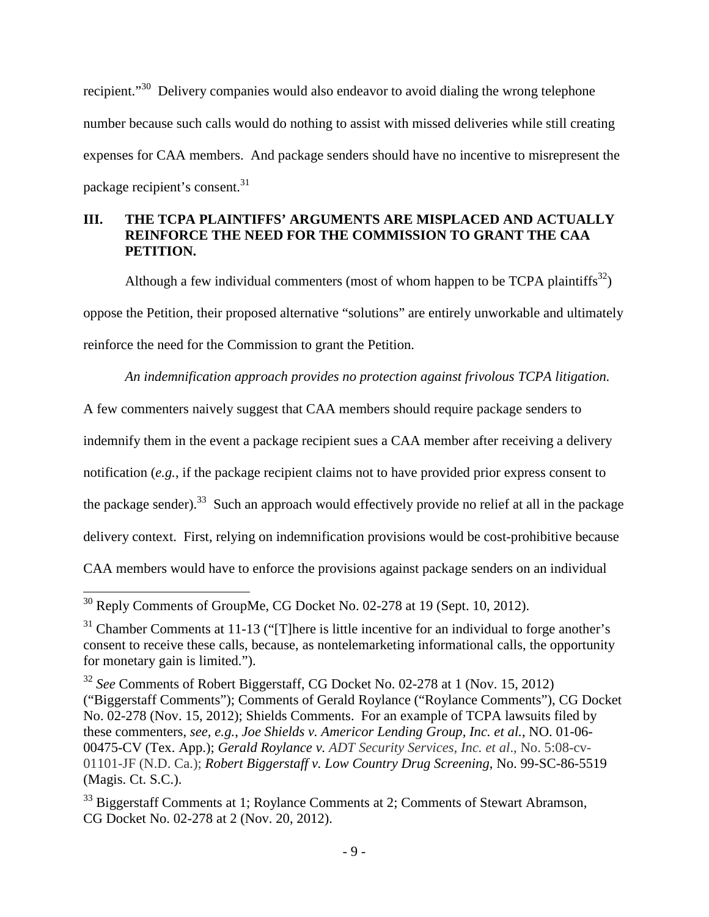recipient."<sup>30</sup> Delivery companies would also endeavor to avoid dialing the wrong telephone number because such calls would do nothing to assist with missed deliveries while still creating expenses for CAA members. And package senders should have no incentive to misrepresent the package recipient's consent.<sup>31</sup>

# **III. THE TCPA PLAINTIFFS' ARGUMENTS ARE MISPLACED AND ACTUALLY REINFORCE THE NEED FOR THE COMMISSION TO GRANT THE CAA PETITION.**

Although a few individual commenters (most of whom happen to be TCPA plaintiffs $^{32}$ ) oppose the Petition, their proposed alternative "solutions" are entirely unworkable and ultimately reinforce the need for the Commission to grant the Petition.

*An indemnification approach provides no protection against frivolous TCPA litigation.*

A few commenters naively suggest that CAA members should require package senders to

indemnify them in the event a package recipient sues a CAA member after receiving a delivery

notification (*e.g.*, if the package recipient claims not to have provided prior express consent to

the package sender).<sup>33</sup> Such an approach would effectively provide no relief at all in the package

delivery context. First, relying on indemnification provisions would be cost-prohibitive because

CAA members would have to enforce the provisions against package senders on an individual

<sup>30</sup> Reply Comments of GroupMe, CG Docket No. 02-278 at 19 (Sept. 10, 2012).

 $31$  Chamber Comments at 11-13 ("[T]here is little incentive for an individual to forge another's consent to receive these calls, because, as nontelemarketing informational calls, the opportunity for monetary gain is limited.").

<sup>32</sup> *See* Comments of Robert Biggerstaff, CG Docket No. 02-278 at 1 (Nov. 15, 2012) ("Biggerstaff Comments"); Comments of Gerald Roylance ("Roylance Comments"), CG Docket No. 02-278 (Nov. 15, 2012); Shields Comments. For an example of TCPA lawsuits filed by these commenters, *see, e.g.*, *Joe Shields v. Americor Lending Group, Inc. et al.*, NO. 01-06- 00475-CV (Tex. App.); *Gerald Roylance v. ADT Security Services, Inc. et al*., No. 5:08-cv-01101-JF (N.D. Ca.); *Robert Biggerstaff v. Low Country Drug Screening*, No. 99-SC-86-5519 (Magis. Ct. S.C.).

<sup>&</sup>lt;sup>33</sup> Biggerstaff Comments at 1; Roylance Comments at 2; Comments of Stewart Abramson, CG Docket No. 02-278 at 2 (Nov. 20, 2012).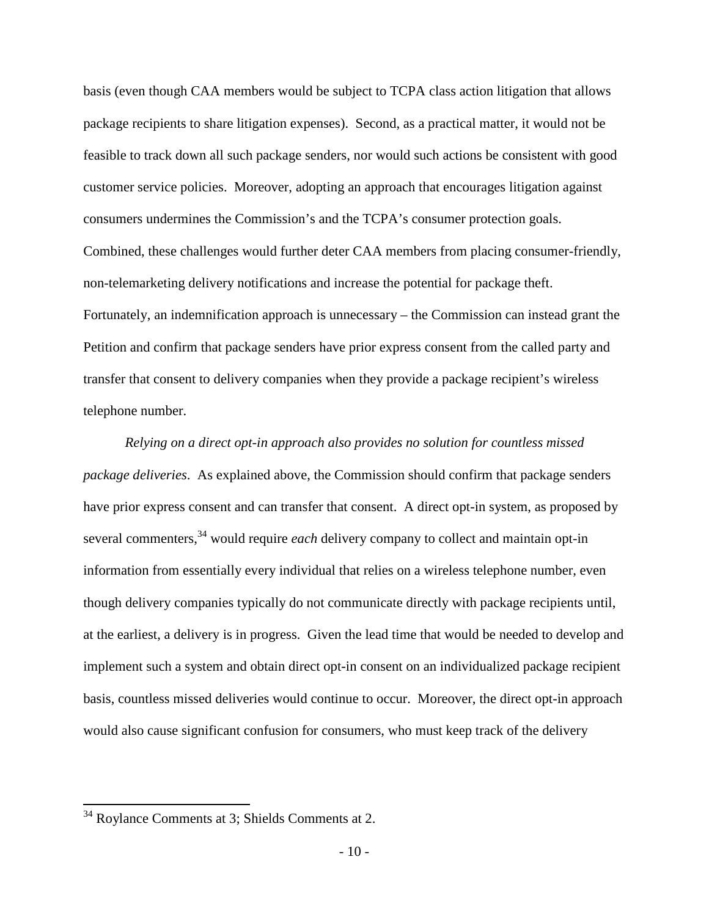basis (even though CAA members would be subject to TCPA class action litigation that allows package recipients to share litigation expenses). Second, as a practical matter, it would not be feasible to track down all such package senders, nor would such actions be consistent with good customer service policies. Moreover, adopting an approach that encourages litigation against consumers undermines the Commission's and the TCPA's consumer protection goals. Combined, these challenges would further deter CAA members from placing consumer-friendly, non-telemarketing delivery notifications and increase the potential for package theft. Fortunately, an indemnification approach is unnecessary – the Commission can instead grant the Petition and confirm that package senders have prior express consent from the called party and transfer that consent to delivery companies when they provide a package recipient's wireless telephone number.

*Relying on a direct opt-in approach also provides no solution for countless missed package deliveries*. As explained above, the Commission should confirm that package senders have prior express consent and can transfer that consent. A direct opt-in system, as proposed by several commenters,<sup>34</sup> would require *each* delivery company to collect and maintain opt-in information from essentially every individual that relies on a wireless telephone number, even though delivery companies typically do not communicate directly with package recipients until, at the earliest, a delivery is in progress. Given the lead time that would be needed to develop and implement such a system and obtain direct opt-in consent on an individualized package recipient basis, countless missed deliveries would continue to occur. Moreover, the direct opt-in approach would also cause significant confusion for consumers, who must keep track of the delivery

<sup>34</sup> Roylance Comments at 3; Shields Comments at 2.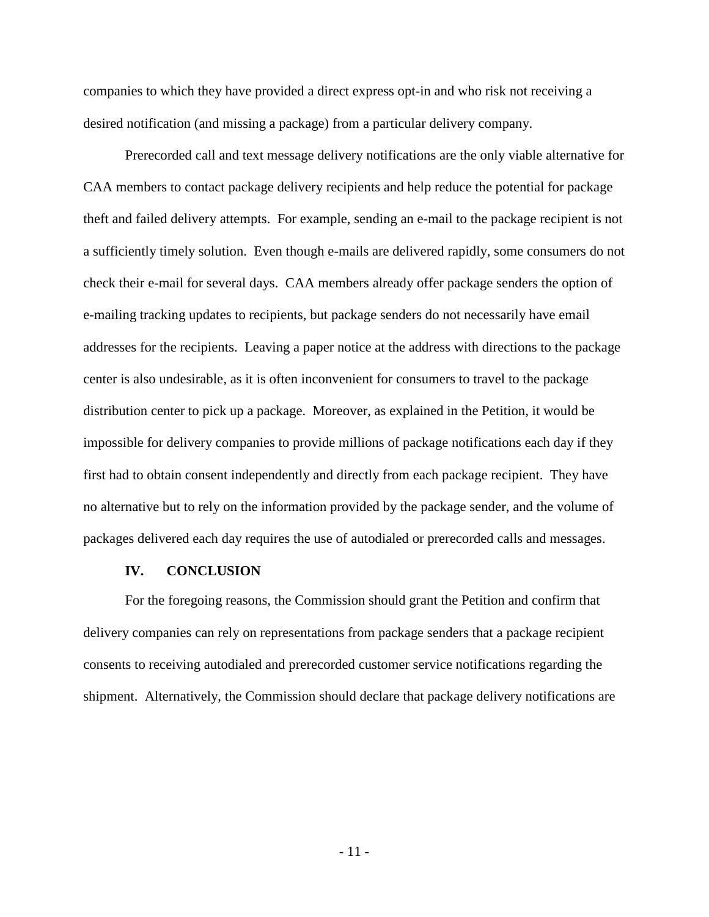companies to which they have provided a direct express opt-in and who risk not receiving a desired notification (and missing a package) from a particular delivery company.

Prerecorded call and text message delivery notifications are the only viable alternative for CAA members to contact package delivery recipients and help reduce the potential for package theft and failed delivery attempts. For example, sending an e-mail to the package recipient is not a sufficiently timely solution. Even though e-mails are delivered rapidly, some consumers do not check their e-mail for several days. CAA members already offer package senders the option of e-mailing tracking updates to recipients, but package senders do not necessarily have email addresses for the recipients. Leaving a paper notice at the address with directions to the package center is also undesirable, as it is often inconvenient for consumers to travel to the package distribution center to pick up a package. Moreover, as explained in the Petition, it would be impossible for delivery companies to provide millions of package notifications each day if they first had to obtain consent independently and directly from each package recipient. They have no alternative but to rely on the information provided by the package sender, and the volume of packages delivered each day requires the use of autodialed or prerecorded calls and messages.

#### **IV. CONCLUSION**

For the foregoing reasons, the Commission should grant the Petition and confirm that delivery companies can rely on representations from package senders that a package recipient consents to receiving autodialed and prerecorded customer service notifications regarding the shipment. Alternatively, the Commission should declare that package delivery notifications are